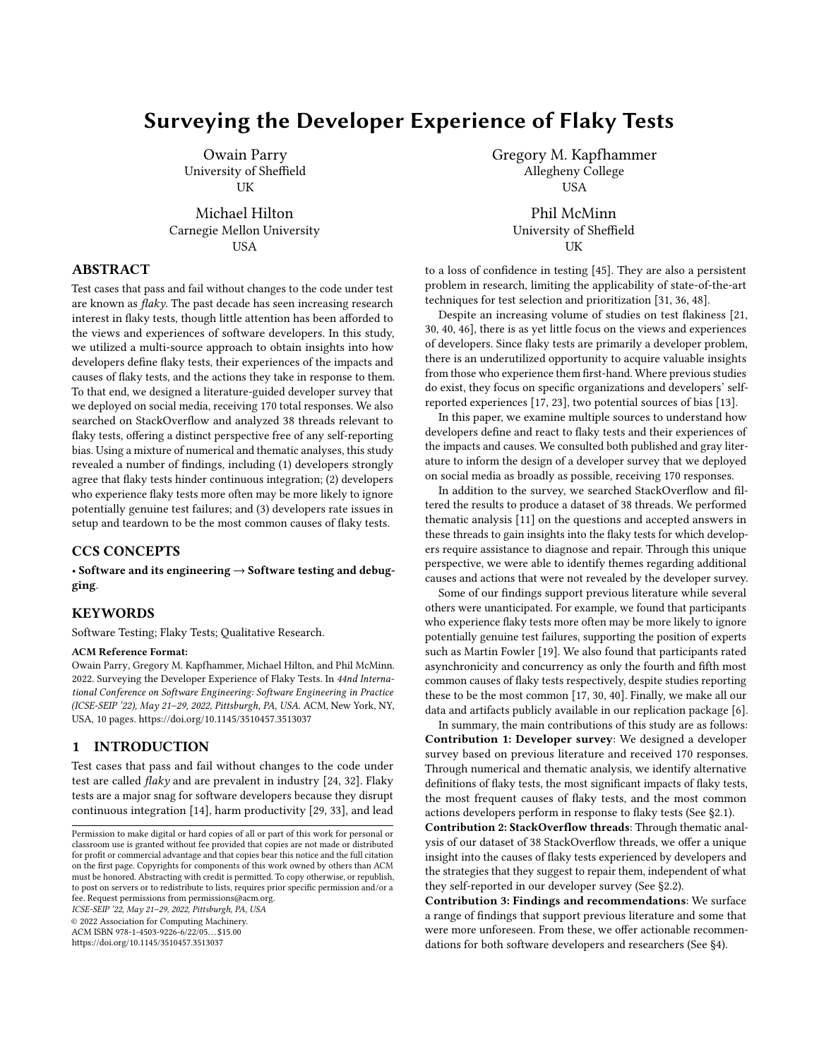# Surveying the Developer Experience of Flaky Tests

Owain Parry University of Sheffield UK

Michael Hilton Carnegie Mellon University USA

## ABSTRACT

Test cases that pass and fail without changes to the code under test are known as flaky. The past decade has seen increasing research interest in flaky tests, though little attention has been afforded to the views and experiences of software developers. In this study, we utilized a multi-source approach to obtain insights into how developers define flaky tests, their experiences of the impacts and causes of flaky tests, and the actions they take in response to them. To that end, we designed a literature-guided developer survey that we deployed on social media, receiving 170 total responses. We also searched on StackOverflow and analyzed 38 threads relevant to flaky tests, offering a distinct perspective free of any self-reporting bias. Using a mixture of numerical and thematic analyses, this study revealed a number of findings, including (1) developers strongly agree that flaky tests hinder continuous integration; (2) developers who experience flaky tests more often may be more likely to ignore potentially genuine test failures; and (3) developers rate issues in setup and teardown to be the most common causes of flaky tests.

## CCS CONCEPTS

• Software and its engineering → Software testing and debugging.

## **KEYWORDS**

Software Testing; Flaky Tests; Qualitative Research.

#### ACM Reference Format:

Owain Parry, Gregory M. Kapfhammer, Michael Hilton, and Phil McMinn. 2022. Surveying the Developer Experience of Flaky Tests. In 44nd International Conference on Software Engineering: Software Engineering in Practice (ICSE-SEIP '22), May 21–29, 2022, Pittsburgh, PA, USA. ACM, New York, NY, USA, [10](#page-9-0) pages.<https://doi.org/10.1145/3510457.3513037>

## 1 INTRODUCTION

Test cases that pass and fail without changes to the code under test are called  $flaky$  and are prevalent in industry [\[24,](#page-9-1) [32\]](#page-9-2). Flaky tests are a major snag for software developers because they disrupt continuous integration [\[14\]](#page-9-3), harm productivity [\[29,](#page-9-4) [33\]](#page-9-5), and lead

ICSE-SEIP '22, May 21–29, 2022, Pittsburgh, PA, USA

© 2022 Association for Computing Machinery.

ACM ISBN 978-1-4503-9226-6/22/05. . . \$15.00

<https://doi.org/10.1145/3510457.3513037>

Gregory M. Kapfhammer Allegheny College **USA** 

> Phil McMinn University of Sheffield **UK**

to a loss of confidence in testing [\[45\]](#page-9-6). They are also a persistent problem in research, limiting the applicability of state-of-the-art techniques for test selection and prioritization [\[31,](#page-9-7) [36,](#page-9-8) [48\]](#page-9-9).

Despite an increasing volume of studies on test flakiness [\[21,](#page-9-10) [30,](#page-9-11) [40,](#page-9-12) [46\]](#page-9-13), there is as yet little focus on the views and experiences of developers. Since flaky tests are primarily a developer problem, there is an underutilized opportunity to acquire valuable insights from those who experience them first-hand. Where previous studies do exist, they focus on specific organizations and developers' selfreported experiences [\[17,](#page-9-14) [23\]](#page-9-15), two potential sources of bias [\[13\]](#page-9-16).

In this paper, we examine multiple sources to understand how developers define and react to flaky tests and their experiences of the impacts and causes. We consulted both published and gray literature to inform the design of a developer survey that we deployed on social media as broadly as possible, receiving 170 responses.

In addition to the survey, we searched StackOverflow and filtered the results to produce a dataset of 38 threads. We performed thematic analysis [\[11\]](#page-9-17) on the questions and accepted answers in these threads to gain insights into the flaky tests for which developers require assistance to diagnose and repair. Through this unique perspective, we were able to identify themes regarding additional causes and actions that were not revealed by the developer survey.

Some of our findings support previous literature while several others were unanticipated. For example, we found that participants who experience flaky tests more often may be more likely to ignore potentially genuine test failures, supporting the position of experts such as Martin Fowler [\[19\]](#page-9-18). We also found that participants rated asynchronicity and concurrency as only the fourth and fifth most common causes of flaky tests respectively, despite studies reporting these to be the most common [\[17,](#page-9-14) [30,](#page-9-11) [40\]](#page-9-12). Finally, we make all our data and artifacts publicly available in our replication package [\[6\]](#page-9-19).

In summary, the main contributions of this study are as follows: Contribution 1: Developer survey: We designed a developer survey based on previous literature and received 170 responses. Through numerical and thematic analysis, we identify alternative definitions of flaky tests, the most significant impacts of flaky tests, the most frequent causes of flaky tests, and the most common actions developers perform in response to flaky tests (See [§2.1\)](#page-1-0).

Contribution 2: StackOverflow threads: Through thematic analysis of our dataset of 38 StackOverflow threads, we offer a unique insight into the causes of flaky tests experienced by developers and the strategies that they suggest to repair them, independent of what they self-reported in our developer survey (See [§2.2\)](#page-2-0).

Contribution 3: Findings and recommendations: We surface a range of findings that support previous literature and some that were more unforeseen. From these, we offer actionable recommendations for both software developers and researchers (See [§4\)](#page-8-0).

Permission to make digital or hard copies of all or part of this work for personal or classroom use is granted without fee provided that copies are not made or distributed for profit or commercial advantage and that copies bear this notice and the full citation on the first page. Copyrights for components of this work owned by others than ACM must be honored. Abstracting with credit is permitted. To copy otherwise, or republish, to post on servers or to redistribute to lists, requires prior specific permission and/or a fee. Request permissions from permissions@acm.org.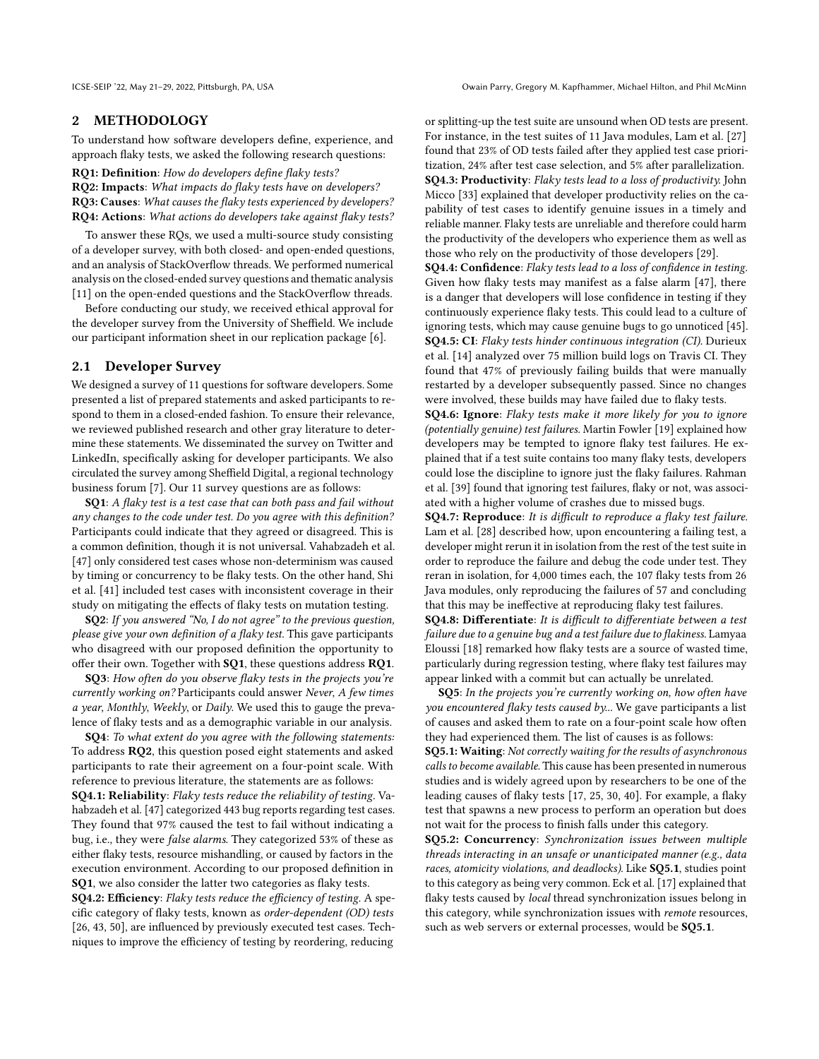## 2 METHODOLOGY

To understand how software developers define, experience, and approach flaky tests, we asked the following research questions:

RQ1: Definition: How do developers define flaky tests? RQ2: Impacts: What impacts do flaky tests have on developers? RQ3: Causes: What causes the flaky tests experienced by developers? RQ4: Actions: What actions do developers take against flaky tests?

To answer these RQs, we used a multi-source study consisting of a developer survey, with both closed- and open-ended questions, and an analysis of StackOverflow threads. We performed numerical analysis on the closed-ended survey questions and thematic analysis [\[11\]](#page-9-17) on the open-ended questions and the StackOverflow threads.

Before conducting our study, we received ethical approval for the developer survey from the University of Sheffield. We include our participant information sheet in our replication package [\[6\]](#page-9-19).

### <span id="page-1-0"></span>2.1 Developer Survey

We designed a survey of 11 questions for software developers. Some presented a list of prepared statements and asked participants to respond to them in a closed-ended fashion. To ensure their relevance, we reviewed published research and other gray literature to determine these statements. We disseminated the survey on Twitter and LinkedIn, specifically asking for developer participants. We also circulated the survey among Sheffield Digital, a regional technology business forum [\[7\]](#page-9-20). Our 11 survey questions are as follows:

SQ1: A flaky test is a test case that can both pass and fail without any changes to the code under test. Do you agree with this definition? Participants could indicate that they agreed or disagreed. This is a common definition, though it is not universal. Vahabzadeh et al. [\[47\]](#page-9-21) only considered test cases whose non-determinism was caused by timing or concurrency to be flaky tests. On the other hand, Shi et al. [\[41\]](#page-9-22) included test cases with inconsistent coverage in their study on mitigating the effects of flaky tests on mutation testing.

SQ2: If you answered "No, I do not agree" to the previous question, please give your own definition of a flaky test. This gave participants who disagreed with our proposed definition the opportunity to offer their own. Together with SQ1, these questions address RQ1.

SQ3: How often do you observe flaky tests in the projects you're currently working on? Participants could answer Never, A few times a year, Monthly, Weekly, or Daily. We used this to gauge the prevalence of flaky tests and as a demographic variable in our analysis.

SQ4: To what extent do you agree with the following statements: To address RQ2, this question posed eight statements and asked participants to rate their agreement on a four-point scale. With reference to previous literature, the statements are as follows:

SQ4.1: Reliability: Flaky tests reduce the reliability of testing. Vahabzadeh et al. [\[47\]](#page-9-21) categorized 443 bug reports regarding test cases. They found that 97% caused the test to fail without indicating a bug, i.e., they were false alarms. They categorized 53% of these as either flaky tests, resource mishandling, or caused by factors in the execution environment. According to our proposed definition in SQ1, we also consider the latter two categories as flaky tests.

SQ4.2: Efficiency: Flaky tests reduce the efficiency of testing. A specific category of flaky tests, known as order-dependent (OD) tests [\[26,](#page-9-23) [43,](#page-9-24) [50\]](#page-9-25), are influenced by previously executed test cases. Techniques to improve the efficiency of testing by reordering, reducing

or splitting-up the test suite are unsound when OD tests are present. For instance, in the test suites of 11 Java modules, Lam et al. [\[27\]](#page-9-26) found that 23% of OD tests failed after they applied test case prioritization, 24% after test case selection, and 5% after parallelization. SQ4.3: Productivity: Flaky tests lead to a loss of productivity. John Micco [\[33\]](#page-9-5) explained that developer productivity relies on the capability of test cases to identify genuine issues in a timely and reliable manner. Flaky tests are unreliable and therefore could harm the productivity of the developers who experience them as well as those who rely on the productivity of those developers [\[29\]](#page-9-4).

SQ4.4: Confidence: Flaky tests lead to a loss of confidence in testing. Given how flaky tests may manifest as a false alarm [\[47\]](#page-9-21), there is a danger that developers will lose confidence in testing if they continuously experience flaky tests. This could lead to a culture of ignoring tests, which may cause genuine bugs to go unnoticed [\[45\]](#page-9-6). SQ4.5: CI: Flaky tests hinder continuous integration (CI). Durieux et al. [\[14\]](#page-9-3) analyzed over 75 million build logs on Travis CI. They found that 47% of previously failing builds that were manually restarted by a developer subsequently passed. Since no changes were involved, these builds may have failed due to flaky tests.

SQ4.6: Ignore: Flaky tests make it more likely for you to ignore (potentially genuine) test failures. Martin Fowler [\[19\]](#page-9-18) explained how developers may be tempted to ignore flaky test failures. He explained that if a test suite contains too many flaky tests, developers could lose the discipline to ignore just the flaky failures. Rahman et al. [\[39\]](#page-9-27) found that ignoring test failures, flaky or not, was associated with a higher volume of crashes due to missed bugs.

SQ4.7: Reproduce: It is difficult to reproduce a flaky test failure. Lam et al. [\[28\]](#page-9-28) described how, upon encountering a failing test, a developer might rerun it in isolation from the rest of the test suite in order to reproduce the failure and debug the code under test. They reran in isolation, for 4,000 times each, the 107 flaky tests from 26 Java modules, only reproducing the failures of 57 and concluding that this may be ineffective at reproducing flaky test failures.

SQ4.8: Differentiate: It is difficult to differentiate between a test failure due to a genuine bug and a test failure due to flakiness. Lamyaa Eloussi [\[18\]](#page-9-29) remarked how flaky tests are a source of wasted time, particularly during regression testing, where flaky test failures may appear linked with a commit but can actually be unrelated.

SQ5: In the projects you're currently working on, how often have you encountered flaky tests caused by... We gave participants a list of causes and asked them to rate on a four-point scale how often they had experienced them. The list of causes is as follows:

SQ5.1: Waiting: Not correctly waiting for the results of asynchronous calls to become available. This cause has been presented in numerous studies and is widely agreed upon by researchers to be one of the leading causes of flaky tests [\[17,](#page-9-14) [25,](#page-9-30) [30,](#page-9-11) [40\]](#page-9-12). For example, a flaky test that spawns a new process to perform an operation but does not wait for the process to finish falls under this category.

SQ5.2: Concurrency: Synchronization issues between multiple threads interacting in an unsafe or unanticipated manner (e.g., data races, atomicity violations, and deadlocks). Like SQ5.1, studies point to this category as being very common. Eck et al. [\[17\]](#page-9-14) explained that flaky tests caused by local thread synchronization issues belong in this category, while synchronization issues with remote resources, such as web servers or external processes, would be SQ5.1.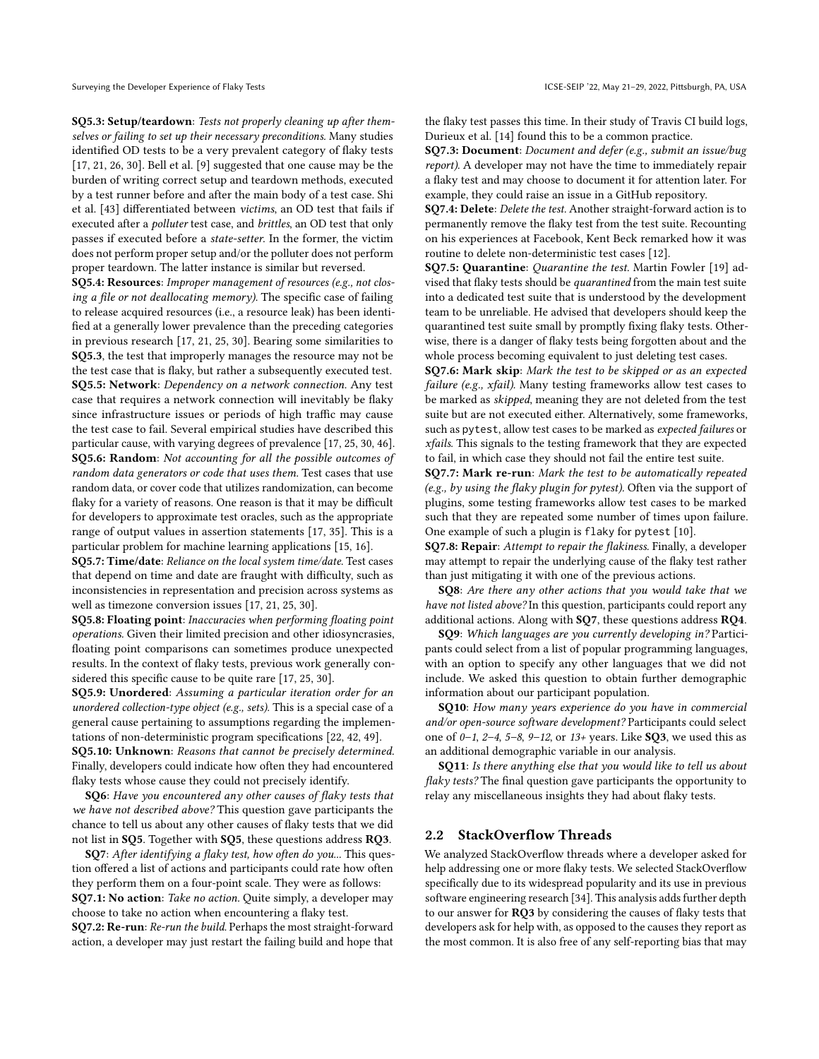SQ5.3: Setup/teardown: Tests not properly cleaning up after themselves or failing to set up their necessary preconditions. Many studies identified OD tests to be a very prevalent category of flaky tests [\[17,](#page-9-14) [21,](#page-9-10) [26,](#page-9-23) [30\]](#page-9-11). Bell et al. [\[9\]](#page-9-31) suggested that one cause may be the burden of writing correct setup and teardown methods, executed by a test runner before and after the main body of a test case. Shi et al. [\[43\]](#page-9-24) differentiated between victims, an OD test that fails if executed after a polluter test case, and brittles, an OD test that only passes if executed before a state-setter. In the former, the victim does not perform proper setup and/or the polluter does not perform proper teardown. The latter instance is similar but reversed.

SQ5.4: Resources: Improper management of resources (e.g., not closing a file or not deallocating memory). The specific case of failing to release acquired resources (i.e., a resource leak) has been identified at a generally lower prevalence than the preceding categories in previous research [\[17,](#page-9-14) [21,](#page-9-10) [25,](#page-9-30) [30\]](#page-9-11). Bearing some similarities to SQ5.3, the test that improperly manages the resource may not be the test case that is flaky, but rather a subsequently executed test. SQ5.5: Network: Dependency on a network connection. Any test case that requires a network connection will inevitably be flaky since infrastructure issues or periods of high traffic may cause the test case to fail. Several empirical studies have described this particular cause, with varying degrees of prevalence [\[17,](#page-9-14) [25,](#page-9-30) [30,](#page-9-11) [46\]](#page-9-13). SQ5.6: Random: Not accounting for all the possible outcomes of random data generators or code that uses them. Test cases that use random data, or cover code that utilizes randomization, can become flaky for a variety of reasons. One reason is that it may be difficult for developers to approximate test oracles, such as the appropriate range of output values in assertion statements [\[17,](#page-9-14) [35\]](#page-9-32). This is a particular problem for machine learning applications [\[15,](#page-9-33) [16\]](#page-9-34).

SQ5.7: Time/date: Reliance on the local system time/date. Test cases that depend on time and date are fraught with difficulty, such as inconsistencies in representation and precision across systems as well as timezone conversion issues [\[17,](#page-9-14) [21,](#page-9-10) [25,](#page-9-30) [30\]](#page-9-11).

SQ5.8: Floating point: Inaccuracies when performing floating point operations. Given their limited precision and other idiosyncrasies, floating point comparisons can sometimes produce unexpected results. In the context of flaky tests, previous work generally considered this specific cause to be quite rare [\[17,](#page-9-14) [25,](#page-9-30) [30\]](#page-9-11).

SQ5.9: Unordered: Assuming a particular iteration order for an unordered collection-type object (e.g., sets). This is a special case of a general cause pertaining to assumptions regarding the implementations of non-deterministic program specifications [\[22,](#page-9-35) [42,](#page-9-36) [49\]](#page-9-37). SQ5.10: Unknown: Reasons that cannot be precisely determined. Finally, developers could indicate how often they had encountered flaky tests whose cause they could not precisely identify.

SQ6: Have you encountered any other causes of flaky tests that we have not described above? This question gave participants the chance to tell us about any other causes of flaky tests that we did not list in SQ5. Together with SQ5, these questions address RQ3.

SQ7: After identifying a flaky test, how often do you... This question offered a list of actions and participants could rate how often they perform them on a four-point scale. They were as follows: SQ7.1: No action: Take no action. Quite simply, a developer may choose to take no action when encountering a flaky test. SQ7.2: Re-run: Re-run the build. Perhaps the most straight-forward action, a developer may just restart the failing build and hope that

the flaky test passes this time. In their study of Travis CI build logs, Durieux et al. [\[14\]](#page-9-3) found this to be a common practice.

SQ7.3: Document: Document and defer (e.g., submit an issue/bug report). A developer may not have the time to immediately repair a flaky test and may choose to document it for attention later. For example, they could raise an issue in a GitHub repository.

SQ7.4: Delete: Delete the test. Another straight-forward action is to permanently remove the flaky test from the test suite. Recounting on his experiences at Facebook, Kent Beck remarked how it was routine to delete non-deterministic test cases [\[12\]](#page-9-38).

SQ7.5: Quarantine: Quarantine the test. Martin Fowler [\[19\]](#page-9-18) advised that flaky tests should be quarantined from the main test suite into a dedicated test suite that is understood by the development team to be unreliable. He advised that developers should keep the quarantined test suite small by promptly fixing flaky tests. Otherwise, there is a danger of flaky tests being forgotten about and the whole process becoming equivalent to just deleting test cases.

SQ7.6: Mark skip: Mark the test to be skipped or as an expected failure (e.g., xfail). Many testing frameworks allow test cases to be marked as skipped, meaning they are not deleted from the test suite but are not executed either. Alternatively, some frameworks, such as pytest, allow test cases to be marked as expected failures or xfails. This signals to the testing framework that they are expected to fail, in which case they should not fail the entire test suite.

SQ7.7: Mark re-run: Mark the test to be automatically repeated (e.g., by using the flaky plugin for pytest). Often via the support of plugins, some testing frameworks allow test cases to be marked such that they are repeated some number of times upon failure. One example of such a plugin is flaky for pytest [\[10\]](#page-9-39).

SQ7.8: Repair: Attempt to repair the flakiness. Finally, a developer may attempt to repair the underlying cause of the flaky test rather than just mitigating it with one of the previous actions.

SQ8: Are there any other actions that you would take that we have not listed above? In this question, participants could report any additional actions. Along with SQ7, these questions address RQ4.

SQ9: Which languages are you currently developing in? Participants could select from a list of popular programming languages, with an option to specify any other languages that we did not include. We asked this question to obtain further demographic information about our participant population.

SQ10: How many years experience do you have in commercial and/or open-source software development? Participants could select one of  $0-1$ ,  $2-4$ ,  $5-8$ ,  $9-12$ , or  $13+$  years. Like **SQ3**, we used this as an additional demographic variable in our analysis.

SQ11: Is there anything else that you would like to tell us about flaky tests? The final question gave participants the opportunity to relay any miscellaneous insights they had about flaky tests.

## <span id="page-2-0"></span>2.2 StackOverflow Threads

We analyzed StackOverflow threads where a developer asked for help addressing one or more flaky tests. We selected StackOverflow specifically due to its widespread popularity and its use in previous software engineering research [\[34\]](#page-9-40). This analysis adds further depth to our answer for RQ3 by considering the causes of flaky tests that developers ask for help with, as opposed to the causes they report as the most common. It is also free of any self-reporting bias that may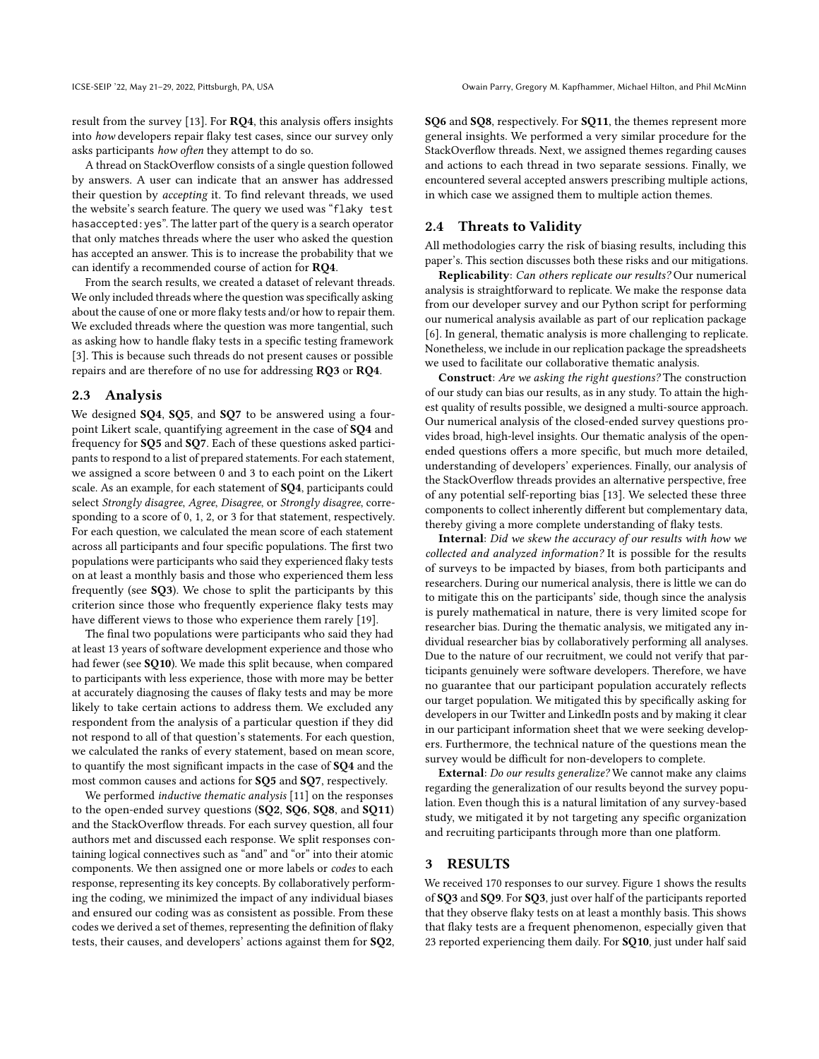result from the survey [\[13\]](#page-9-16). For RQ4, this analysis offers insights into how developers repair flaky test cases, since our survey only asks participants how often they attempt to do so.

A thread on StackOverflow consists of a single question followed by answers. A user can indicate that an answer has addressed their question by accepting it. To find relevant threads, we used the website's search feature. The query we used was "flaky test hasaccepted:yes". The latter part of the query is a search operator that only matches threads where the user who asked the question has accepted an answer. This is to increase the probability that we can identify a recommended course of action for RQ4.

From the search results, we created a dataset of relevant threads. We only included threads where the question was specifically asking about the cause of one or more flaky tests and/or how to repair them. We excluded threads where the question was more tangential, such as asking how to handle flaky tests in a specific testing framework [\[3\]](#page-9-41). This is because such threads do not present causes or possible repairs and are therefore of no use for addressing RQ3 or RQ4.

#### 2.3 Analysis

We designed SQ4, SQ5, and SQ7 to be answered using a fourpoint Likert scale, quantifying agreement in the case of SQ4 and frequency for SQ5 and SQ7. Each of these questions asked participants to respond to a list of prepared statements. For each statement, we assigned a score between 0 and 3 to each point on the Likert scale. As an example, for each statement of SQ4, participants could select Strongly disagree, Agree, Disagree, or Strongly disagree, corresponding to a score of 0, 1, 2, or 3 for that statement, respectively. For each question, we calculated the mean score of each statement across all participants and four specific populations. The first two populations were participants who said they experienced flaky tests on at least a monthly basis and those who experienced them less frequently (see SQ3). We chose to split the participants by this criterion since those who frequently experience flaky tests may have different views to those who experience them rarely [\[19\]](#page-9-18).

The final two populations were participants who said they had at least 13 years of software development experience and those who had fewer (see SQ10). We made this split because, when compared to participants with less experience, those with more may be better at accurately diagnosing the causes of flaky tests and may be more likely to take certain actions to address them. We excluded any respondent from the analysis of a particular question if they did not respond to all of that question's statements. For each question, we calculated the ranks of every statement, based on mean score, to quantify the most significant impacts in the case of SQ4 and the most common causes and actions for SQ5 and SQ7, respectively.

We performed *inductive thematic analysis* [\[11\]](#page-9-17) on the responses to the open-ended survey questions (SQ2, SQ6, SQ8, and SQ11) and the StackOverflow threads. For each survey question, all four authors met and discussed each response. We split responses containing logical connectives such as "and" and "or" into their atomic components. We then assigned one or more labels or codes to each response, representing its key concepts. By collaboratively performing the coding, we minimized the impact of any individual biases and ensured our coding was as consistent as possible. From these codes we derived a set of themes, representing the definition of flaky tests, their causes, and developers' actions against them for SQ2, SQ6 and SQ8, respectively. For SQ11, the themes represent more general insights. We performed a very similar procedure for the StackOverflow threads. Next, we assigned themes regarding causes and actions to each thread in two separate sessions. Finally, we encountered several accepted answers prescribing multiple actions, in which case we assigned them to multiple action themes.

#### 2.4 Threats to Validity

All methodologies carry the risk of biasing results, including this paper's. This section discusses both these risks and our mitigations.

Replicability: Can others replicate our results? Our numerical analysis is straightforward to replicate. We make the response data from our developer survey and our Python script for performing our numerical analysis available as part of our replication package [\[6\]](#page-9-19). In general, thematic analysis is more challenging to replicate. Nonetheless, we include in our replication package the spreadsheets we used to facilitate our collaborative thematic analysis.

Construct: Are we asking the right questions? The construction of our study can bias our results, as in any study. To attain the highest quality of results possible, we designed a multi-source approach. Our numerical analysis of the closed-ended survey questions provides broad, high-level insights. Our thematic analysis of the openended questions offers a more specific, but much more detailed, understanding of developers' experiences. Finally, our analysis of the StackOverflow threads provides an alternative perspective, free of any potential self-reporting bias [\[13\]](#page-9-16). We selected these three components to collect inherently different but complementary data, thereby giving a more complete understanding of flaky tests.

Internal: Did we skew the accuracy of our results with how we collected and analyzed information? It is possible for the results of surveys to be impacted by biases, from both participants and researchers. During our numerical analysis, there is little we can do to mitigate this on the participants' side, though since the analysis is purely mathematical in nature, there is very limited scope for researcher bias. During the thematic analysis, we mitigated any individual researcher bias by collaboratively performing all analyses. Due to the nature of our recruitment, we could not verify that participants genuinely were software developers. Therefore, we have no guarantee that our participant population accurately reflects our target population. We mitigated this by specifically asking for developers in our Twitter and LinkedIn posts and by making it clear in our participant information sheet that we were seeking developers. Furthermore, the technical nature of the questions mean the survey would be difficult for non-developers to complete.

External: Do our results generalize? We cannot make any claims regarding the generalization of our results beyond the survey population. Even though this is a natural limitation of any survey-based study, we mitigated it by not targeting any specific organization and recruiting participants through more than one platform.

#### 3 RESULTS

We received 170 responses to our survey. Figure [1](#page-4-0) shows the results of SQ3 and SQ9. For SQ3, just over half of the participants reported that they observe flaky tests on at least a monthly basis. This shows that flaky tests are a frequent phenomenon, especially given that 23 reported experiencing them daily. For SQ10, just under half said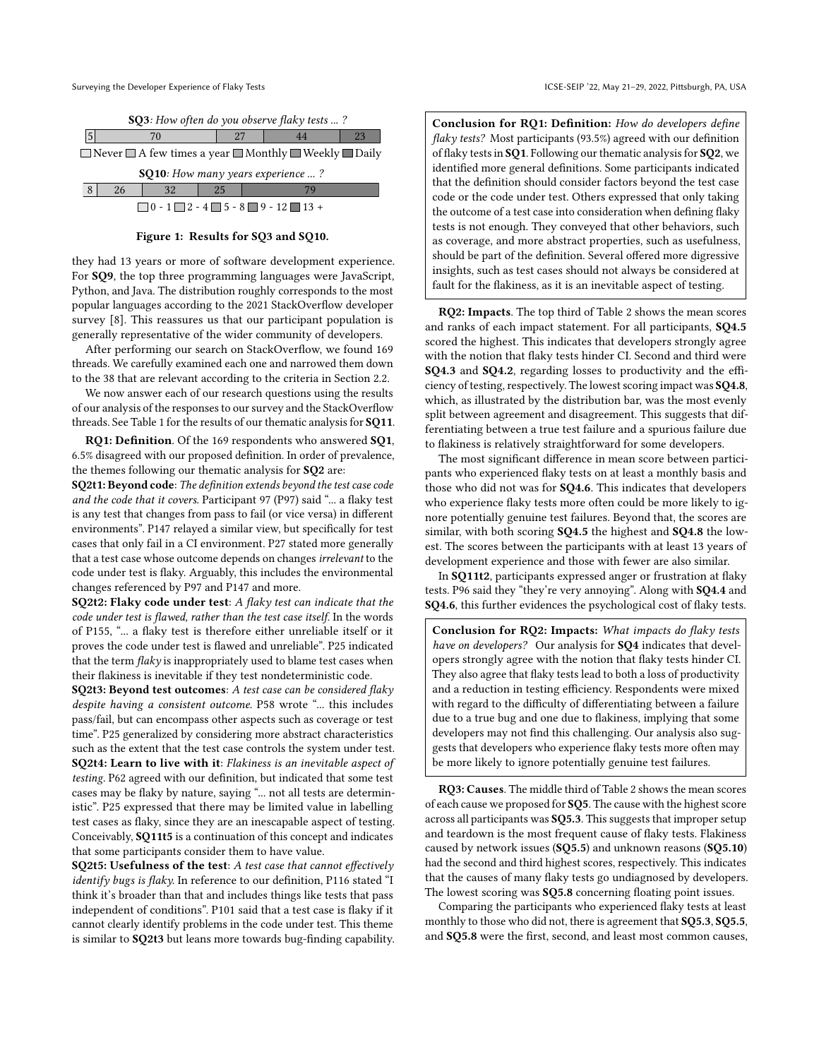Surveying the Developer Experience of Flaky Tests ICSE-SEIP '22, May 21-29, 2022, Pittsburgh, PA, USA

<span id="page-4-0"></span>

|                                                                                  | <b>SQ3</b> : How often do you observe flaky tests ? |    |  |    |  |  |    |  |
|----------------------------------------------------------------------------------|-----------------------------------------------------|----|--|----|--|--|----|--|
|                                                                                  |                                                     |    |  |    |  |  | 23 |  |
| $\Box$ Never $\Box$ A few times a year $\Box$ Monthly $\Box$ Weekly $\Box$ Daily |                                                     |    |  |    |  |  |    |  |
| <b>SQ10</b> : How many years experience ?                                        |                                                     |    |  |    |  |  |    |  |
|                                                                                  |                                                     | 26 |  | 25 |  |  |    |  |

| $\sim$ 1 |  |                                                                  |
|----------|--|------------------------------------------------------------------|
|          |  | $\Box$ 0 - 1 $\Box$ 2 - 4 $\Box$ 5 - 8 $\Box$ 9 - 12 $\Box$ 13 + |
|          |  |                                                                  |

#### Figure 1: Results for SQ3 and SQ10.

they had 13 years or more of software development experience. For SQ9, the top three programming languages were JavaScript, Python, and Java. The distribution roughly corresponds to the most popular languages according to the 2021 StackOverflow developer survey [\[8\]](#page-9-42). This reassures us that our participant population is generally representative of the wider community of developers.

After performing our search on StackOverflow, we found 169 threads. We carefully examined each one and narrowed them down to the 38 that are relevant according to the criteria in Section [2.2.](#page-2-0)

We now answer each of our research questions using the results of our analysis of the responses to our survey and the StackOverflow threads. See Table [1](#page-5-0) for the results of our thematic analysis for SQ11.

RQ1: Definition. Of the 169 respondents who answered SQ1, 6.5% disagreed with our proposed definition. In order of prevalence, the themes following our thematic analysis for SQ2 are:

SQ2t1: Beyond code: The definition extends beyond the test case code and the code that it covers. Participant 97 (P97) said "... a flaky test is any test that changes from pass to fail (or vice versa) in different environments". P147 relayed a similar view, but specifically for test cases that only fail in a CI environment. P27 stated more generally that a test case whose outcome depends on changes irrelevant to the code under test is flaky. Arguably, this includes the environmental changes referenced by P97 and P147 and more.

SQ2t2: Flaky code under test: A flaky test can indicate that the code under test is flawed, rather than the test case itself. In the words of P155, "... a flaky test is therefore either unreliable itself or it proves the code under test is flawed and unreliable". P25 indicated that the term  $flaky$  is inappropriately used to blame test cases when their flakiness is inevitable if they test nondeterministic code.

SQ2t3: Beyond test outcomes: A test case can be considered flaky despite having a consistent outcome. P58 wrote "... this includes pass/fail, but can encompass other aspects such as coverage or test time". P25 generalized by considering more abstract characteristics such as the extent that the test case controls the system under test. SQ2t4: Learn to live with it: Flakiness is an inevitable aspect of testing. P62 agreed with our definition, but indicated that some test cases may be flaky by nature, saying "... not all tests are deterministic". P25 expressed that there may be limited value in labelling test cases as flaky, since they are an inescapable aspect of testing. Conceivably, SQ11t5 is a continuation of this concept and indicates that some participants consider them to have value.

SQ2t5: Usefulness of the test: A test case that cannot effectively identify bugs is flaky. In reference to our definition, P116 stated "I think it's broader than that and includes things like tests that pass independent of conditions". P101 said that a test case is flaky if it cannot clearly identify problems in the code under test. This theme is similar to SQ2t3 but leans more towards bug-finding capability.

Conclusion for RQ1: Definition: How do developers define flaky tests? Most participants (93.5%) agreed with our definition of flaky tests in SQ1. Following our thematic analysis for SQ2, we identified more general definitions. Some participants indicated that the definition should consider factors beyond the test case code or the code under test. Others expressed that only taking the outcome of a test case into consideration when defining flaky tests is not enough. They conveyed that other behaviors, such as coverage, and more abstract properties, such as usefulness, should be part of the definition. Several offered more digressive insights, such as test cases should not always be considered at fault for the flakiness, as it is an inevitable aspect of testing.

RQ2: Impacts. The top third of Table [2](#page-5-1) shows the mean scores and ranks of each impact statement. For all participants, SQ4.5 scored the highest. This indicates that developers strongly agree with the notion that flaky tests hinder CI. Second and third were SQ4.3 and SQ4.2, regarding losses to productivity and the efficiency of testing, respectively. The lowest scoring impact was SQ4.8, which, as illustrated by the distribution bar, was the most evenly split between agreement and disagreement. This suggests that differentiating between a true test failure and a spurious failure due to flakiness is relatively straightforward for some developers.

The most significant difference in mean score between participants who experienced flaky tests on at least a monthly basis and those who did not was for SQ4.6. This indicates that developers who experience flaky tests more often could be more likely to ignore potentially genuine test failures. Beyond that, the scores are similar, with both scoring SQ4.5 the highest and SQ4.8 the lowest. The scores between the participants with at least 13 years of development experience and those with fewer are also similar.

In SQ11t2, participants expressed anger or frustration at flaky tests. P96 said they "they're very annoying". Along with SQ4.4 and SQ4.6, this further evidences the psychological cost of flaky tests.

Conclusion for RQ2: Impacts: What impacts do flaky tests have on developers? Our analysis for SQ4 indicates that developers strongly agree with the notion that flaky tests hinder CI. They also agree that flaky tests lead to both a loss of productivity and a reduction in testing efficiency. Respondents were mixed with regard to the difficulty of differentiating between a failure due to a true bug and one due to flakiness, implying that some developers may not find this challenging. Our analysis also suggests that developers who experience flaky tests more often may be more likely to ignore potentially genuine test failures.

RQ3: Causes. The middle third of Table [2](#page-5-1) shows the mean scores of each cause we proposed for  $SQ5$ . The cause with the highest score across all participants was SQ5.3. This suggests that improper setup and teardown is the most frequent cause of flaky tests. Flakiness caused by network issues (SQ5.5) and unknown reasons (SQ5.10) had the second and third highest scores, respectively. This indicates that the causes of many flaky tests go undiagnosed by developers. The lowest scoring was **SQ5.8** concerning floating point issues.

Comparing the participants who experienced flaky tests at least monthly to those who did not, there is agreement that **SO5.3**, **SO5.5**, and SQ5.8 were the first, second, and least most common causes,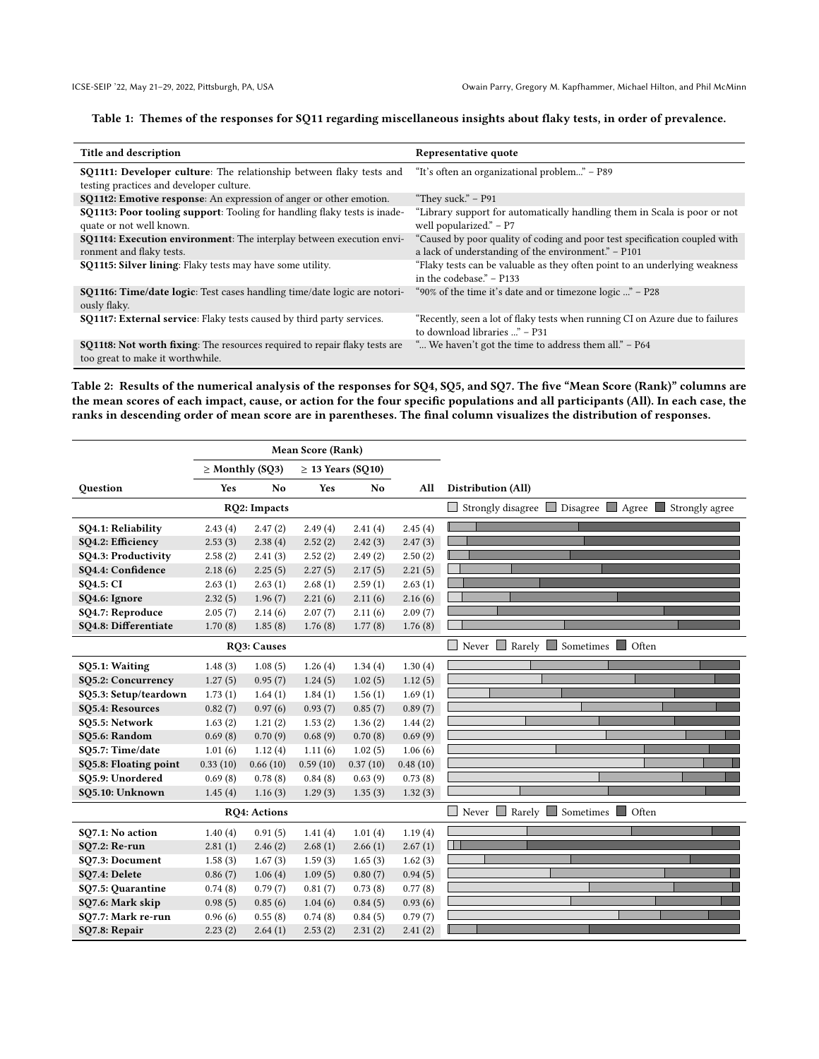## <span id="page-5-0"></span>Table 1: Themes of the responses for SQ11 regarding miscellaneous insights about flaky tests, in order of prevalence.

| Title and description                                                                                                 | Representative quote                                                                                                              |
|-----------------------------------------------------------------------------------------------------------------------|-----------------------------------------------------------------------------------------------------------------------------------|
| <b>SQ11t1: Developer culture:</b> The relationship between flaky tests and                                            | "It's often an organizational problem" – P89                                                                                      |
| testing practices and developer culture.                                                                              |                                                                                                                                   |
| <b>SQ11t2: Emotive response:</b> An expression of anger or other emotion.                                             | "They suck." $-$ P91                                                                                                              |
| SQ11t3: Poor tooling support: Tooling for handling flaky tests is inade-<br>quate or not well known.                  | "Library support for automatically handling them in Scala is poor or not<br>well popularized." – P7                               |
| SQ11t4: Execution environment: The interplay between execution envi-<br>ronment and flaky tests.                      | "Caused by poor quality of coding and poor test specification coupled with<br>a lack of understanding of the environment." – P101 |
| <b>SQ11t5: Silver lining:</b> Flaky tests may have some utility.                                                      | "Flaky tests can be valuable as they often point to an underlying weakness<br>in the codebase." – P133                            |
| <b>SQ11t6: Time/date logic:</b> Test cases handling time/date logic are notori-<br>ously flaky.                       | "90% of the time it's date and or timezone logic " – P28                                                                          |
| SQ11t7: External service: Flaky tests caused by third party services.                                                 | "Recently, seen a lot of flaky tests when running CI on Azure due to failures<br>to download libraries " - P31                    |
| <b>SQ11t8:</b> Not worth fixing: The resources required to repair flaky tests are<br>too great to make it worthwhile. | " We haven't got the time to address them all." - P64                                                                             |

<span id="page-5-1"></span>Table 2: Results of the numerical analysis of the responses for SQ4, SQ5, and SQ7. The five "Mean Score (Rank)" columns are the mean scores of each impact, cause, or action for the four specific populations and all participants (All). In each case, the ranks in descending order of mean score are in parentheses. The final column visualizes the distribution of responses.

|                       | <b>Mean Score (Rank)</b> |                      |          |                        |          |                                                         |
|-----------------------|--------------------------|----------------------|----------|------------------------|----------|---------------------------------------------------------|
|                       |                          | $\geq$ Monthly (SQ3) |          | $\geq$ 13 Years (SQ10) |          |                                                         |
| Question              | Yes                      | N <sub>o</sub>       | Yes      | No.                    | All      | Distribution (All)                                      |
|                       |                          | RQ2: Impacts         |          |                        |          | □ Strongly disagree ■ Disagree ■ Agree ■ Strongly agree |
| SQ4.1: Reliability    | 2.43(4)                  | 2.47(2)              | 2.49(4)  | 2.41(4)                | 2.45(4)  |                                                         |
| SQ4.2: Efficiency     | 2.53(3)                  | 2.38(4)              | 2.52(2)  | 2.42(3)                | 2.47(3)  |                                                         |
| SQ4.3: Productivity   | 2.58(2)                  | 2.41(3)              | 2.52(2)  | 2.49(2)                | 2.50(2)  |                                                         |
| SO4.4: Confidence     | 2.18(6)                  | 2.25(5)              | 2.27(5)  | 2.17(5)                | 2.21(5)  |                                                         |
| <b>SO4.5: CI</b>      | 2.63(1)                  | 2.63(1)              | 2.68(1)  | 2.59(1)                | 2.63(1)  |                                                         |
| SQ4.6: Ignore         | 2.32(5)                  | 1.96(7)              | 2.21(6)  | 2.11(6)                | 2.16(6)  |                                                         |
| SQ4.7: Reproduce      | 2.05(7)                  | 2.14(6)              | 2.07(7)  | 2.11(6)                | 2.09(7)  |                                                         |
| SQ4.8: Differentiate  | 1.70(8)                  | 1.85(8)              | 1.76(8)  | 1.77(8)                | 1.76(8)  |                                                         |
|                       |                          | <b>RO3: Causes</b>   |          |                        |          | Never Rarely Sometimes Often                            |
| SQ5.1: Waiting        | 1.48(3)                  | 1.08(5)              | 1.26(4)  | 1.34(4)                | 1.30(4)  |                                                         |
| SQ5.2: Concurrency    | 1.27(5)                  | 0.95(7)              | 1.24(5)  | 1.02(5)                | 1.12(5)  |                                                         |
| SQ5.3: Setup/teardown | 1.73(1)                  | 1.64(1)              | 1.84(1)  | 1.56(1)                | 1.69(1)  |                                                         |
| SQ5.4: Resources      | 0.82(7)                  | 0.97(6)              | 0.93(7)  | 0.85(7)                | 0.89(7)  |                                                         |
| SQ5.5: Network        | 1.63(2)                  | 1.21(2)              | 1.53(2)  | 1.36(2)                | 1.44(2)  |                                                         |
| SQ5.6: Random         | 0.69(8)                  | 0.70(9)              | 0.68(9)  | 0.70(8)                | 0.69(9)  |                                                         |
| SQ5.7: Time/date      | 1.01(6)                  | 1.12(4)              | 1.11(6)  | 1.02(5)                | 1.06(6)  |                                                         |
| SQ5.8: Floating point | 0.33(10)                 | 0.66(10)             | 0.59(10) | 0.37(10)               | 0.48(10) |                                                         |
| SQ5.9: Unordered      | 0.69(8)                  | 0.78(8)              | 0.84(8)  | 0.63(9)                | 0.73(8)  |                                                         |
| SQ5.10: Unknown       | 1.45(4)                  | 1.16(3)              | 1.29(3)  | 1.35(3)                | 1.32(3)  |                                                         |
|                       |                          | <b>RO4</b> : Actions |          |                        |          | Never Rarely Sometimes Often                            |
| SQ7.1: No action      | 1.40(4)                  | 0.91(5)              | 1.41(4)  | 1.01(4)                | 1.19(4)  |                                                         |
| <b>SQ7.2: Re-run</b>  | 2.81(1)                  | 2.46(2)              | 2.68(1)  | 2.66(1)                | 2.67(1)  |                                                         |
| SQ7.3: Document       | 1.58(3)                  | 1.67(3)              | 1.59(3)  | 1.65(3)                | 1.62(3)  |                                                         |
| SQ7.4: Delete         | 0.86(7)                  | 1.06(4)              | 1.09(5)  | 0.80(7)                | 0.94(5)  |                                                         |
| SQ7.5: Quarantine     | 0.74(8)                  | 0.79(7)              | 0.81(7)  | 0.73(8)                | 0.77(8)  |                                                         |
| SQ7.6: Mark skip      | 0.98(5)                  | 0.85(6)              | 1.04(6)  | 0.84(5)                | 0.93(6)  |                                                         |
| SQ7.7: Mark re-run    | 0.96(6)                  | 0.55(8)              | 0.74(8)  | 0.84(5)                | 0.79(7)  |                                                         |
| SQ7.8: Repair         | 2.23(2)                  | 2.64(1)              | 2.53(2)  | 2.31(2)                | 2.41(2)  |                                                         |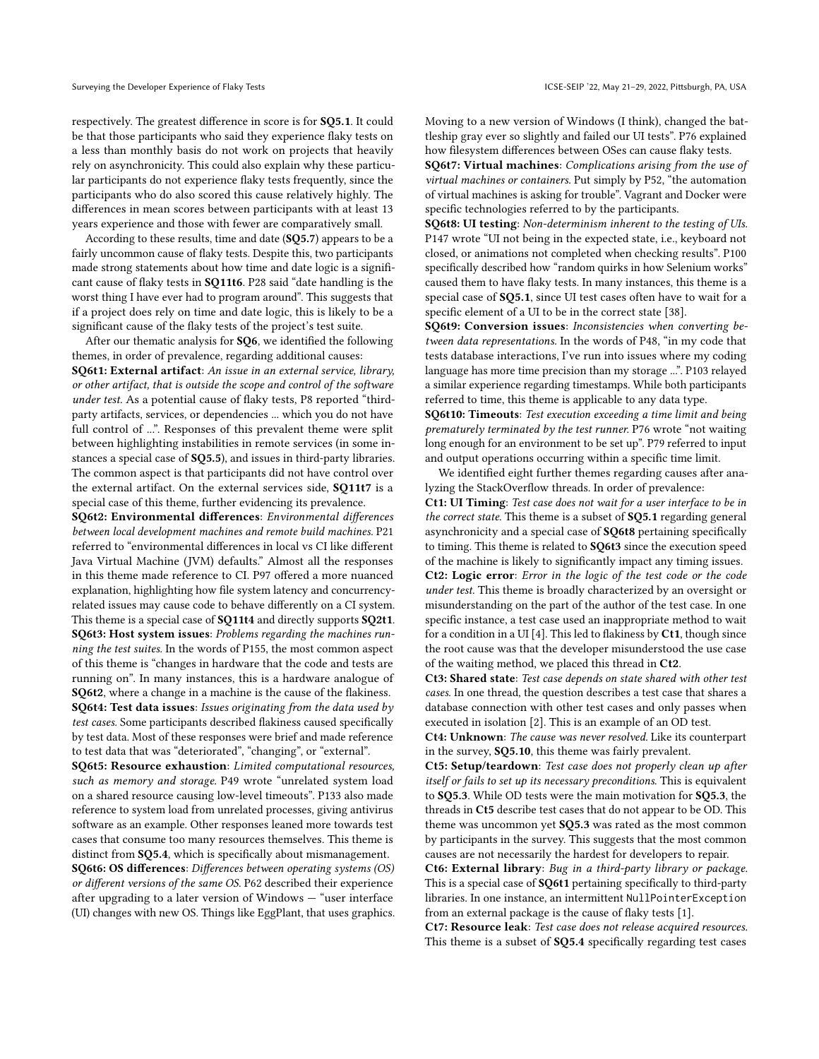respectively. The greatest difference in score is for SQ5.1. It could be that those participants who said they experience flaky tests on a less than monthly basis do not work on projects that heavily rely on asynchronicity. This could also explain why these particular participants do not experience flaky tests frequently, since the participants who do also scored this cause relatively highly. The differences in mean scores between participants with at least 13 years experience and those with fewer are comparatively small.

According to these results, time and date (SQ5.7) appears to be a fairly uncommon cause of flaky tests. Despite this, two participants made strong statements about how time and date logic is a significant cause of flaky tests in SQ11t6. P28 said "date handling is the worst thing I have ever had to program around". This suggests that if a project does rely on time and date logic, this is likely to be a significant cause of the flaky tests of the project's test suite.

After our thematic analysis for SQ6, we identified the following themes, in order of prevalence, regarding additional causes: SQ6t1: External artifact: An issue in an external service, library, or other artifact, that is outside the scope and control of the software under test. As a potential cause of flaky tests, P8 reported "thirdparty artifacts, services, or dependencies ... which you do not have full control of ...". Responses of this prevalent theme were split between highlighting instabilities in remote services (in some instances a special case of SQ5.5), and issues in third-party libraries. The common aspect is that participants did not have control over the external artifact. On the external services side, SQ11t7 is a special case of this theme, further evidencing its prevalence.

SQ6t2: Environmental differences: Environmental differences between local development machines and remote build machines. P21 referred to "environmental differences in local vs CI like different Java Virtual Machine (JVM) defaults." Almost all the responses in this theme made reference to CI. P97 offered a more nuanced explanation, highlighting how file system latency and concurrencyrelated issues may cause code to behave differently on a CI system. This theme is a special case of SQ11t4 and directly supports SQ2t1. SQ6t3: Host system issues: Problems regarding the machines running the test suites. In the words of P155, the most common aspect of this theme is "changes in hardware that the code and tests are running on". In many instances, this is a hardware analogue of SQ6t2, where a change in a machine is the cause of the flakiness. SQ6t4: Test data issues: Issues originating from the data used by

test cases. Some participants described flakiness caused specifically by test data. Most of these responses were brief and made reference to test data that was "deteriorated", "changing", or "external".

SQ6t5: Resource exhaustion: Limited computational resources, such as memory and storage. P49 wrote "unrelated system load on a shared resource causing low-level timeouts". P133 also made reference to system load from unrelated processes, giving antivirus software as an example. Other responses leaned more towards test cases that consume too many resources themselves. This theme is distinct from SQ5.4, which is specifically about mismanagement.

SQ6t6: OS differences: Differences between operating systems (OS) or different versions of the same OS. P62 described their experience after upgrading to a later version of Windows — "user interface (UI) changes with new OS. Things like EggPlant, that uses graphics. Moving to a new version of Windows (I think), changed the battleship gray ever so slightly and failed our UI tests". P76 explained how filesystem differences between OSes can cause flaky tests.

SQ6t7: Virtual machines: Complications arising from the use of virtual machines or containers. Put simply by P52, "the automation of virtual machines is asking for trouble". Vagrant and Docker were specific technologies referred to by the participants.

SQ6t8: UI testing: Non-determinism inherent to the testing of UIs. P147 wrote "UI not being in the expected state, i.e., keyboard not closed, or animations not completed when checking results". P100 specifically described how "random quirks in how Selenium works" caused them to have flaky tests. In many instances, this theme is a special case of SQ5.1, since UI test cases often have to wait for a specific element of a UI to be in the correct state [\[38\]](#page-9-43).

SQ6t9: Conversion issues: Inconsistencies when converting between data representations. In the words of P48, "in my code that tests database interactions, I've run into issues where my coding language has more time precision than my storage ...". P103 relayed a similar experience regarding timestamps. While both participants referred to time, this theme is applicable to any data type.

SQ6t10: Timeouts: Test execution exceeding a time limit and being prematurely terminated by the test runner. P76 wrote "not waiting long enough for an environment to be set up". P79 referred to input and output operations occurring within a specific time limit.

We identified eight further themes regarding causes after analyzing the StackOverflow threads. In order of prevalence:

Ct1: UI Timing: Test case does not wait for a user interface to be in the correct state. This theme is a subset of SQ5.1 regarding general asynchronicity and a special case of SQ6t8 pertaining specifically to timing. This theme is related to SQ6t3 since the execution speed of the machine is likely to significantly impact any timing issues. Ct2: Logic error: Error in the logic of the test code or the code under test. This theme is broadly characterized by an oversight or misunderstanding on the part of the author of the test case. In one specific instance, a test case used an inappropriate method to wait for a condition in a UI [\[4\]](#page-9-44). This led to flakiness by  $Ct1$ , though since the root cause was that the developer misunderstood the use case of the waiting method, we placed this thread in Ct2.

Ct3: Shared state: Test case depends on state shared with other test cases. In one thread, the question describes a test case that shares a database connection with other test cases and only passes when executed in isolation [\[2\]](#page-9-45). This is an example of an OD test.

Ct4: Unknown: The cause was never resolved. Like its counterpart in the survey, SQ5.10, this theme was fairly prevalent.

Ct5: Setup/teardown: Test case does not properly clean up after itself or fails to set up its necessary preconditions. This is equivalent to SQ5.3. While OD tests were the main motivation for SQ5.3, the threads in Ct5 describe test cases that do not appear to be OD. This theme was uncommon yet SQ5.3 was rated as the most common by participants in the survey. This suggests that the most common causes are not necessarily the hardest for developers to repair.

Ct6: External library: Bug in a third-party library or package. This is a special case of SQ6t1 pertaining specifically to third-party libraries. In one instance, an intermittent NullPointerException from an external package is the cause of flaky tests [\[1\]](#page-9-46).

Ct7: Resource leak: Test case does not release acquired resources. This theme is a subset of SQ5.4 specifically regarding test cases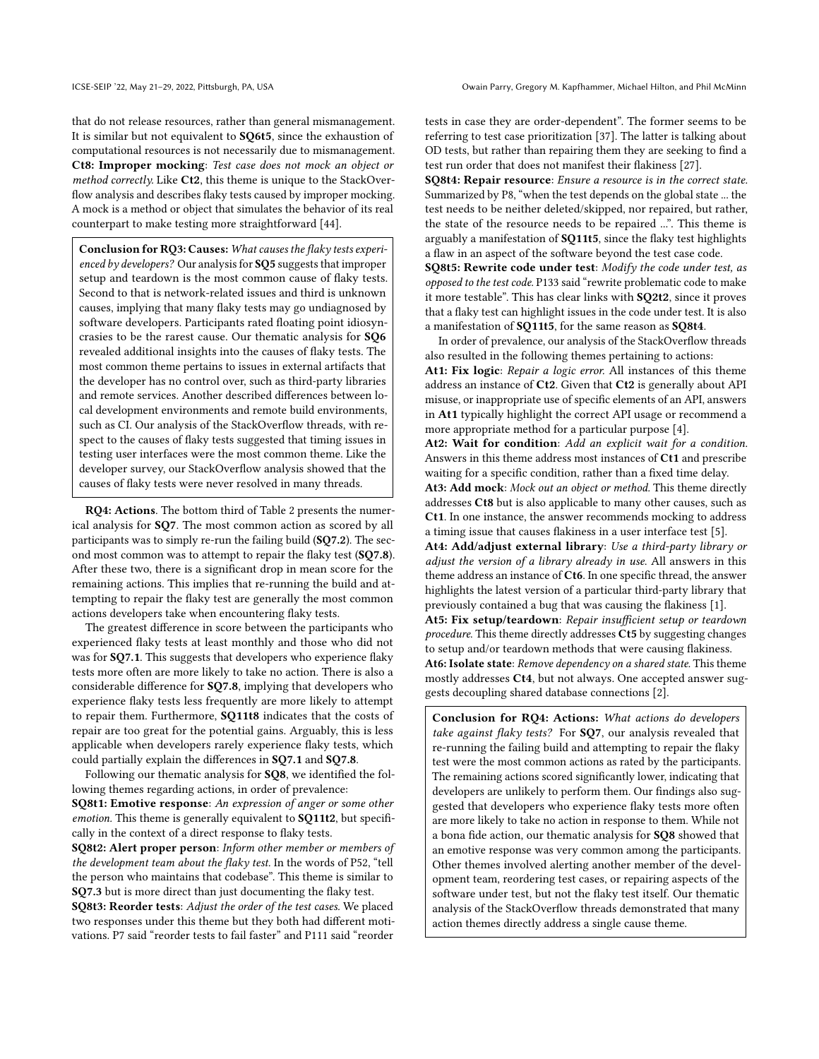that do not release resources, rather than general mismanagement. It is similar but not equivalent to SQ6t5, since the exhaustion of computational resources is not necessarily due to mismanagement. Ct8: Improper mocking: Test case does not mock an object or method correctly. Like Ct2, this theme is unique to the StackOverflow analysis and describes flaky tests caused by improper mocking. A mock is a method or object that simulates the behavior of its real counterpart to make testing more straightforward [\[44\]](#page-9-47).

Conclusion for RQ3: Causes: What causes the flaky tests experienced by developers? Our analysis for SQ5 suggests that improper setup and teardown is the most common cause of flaky tests. Second to that is network-related issues and third is unknown causes, implying that many flaky tests may go undiagnosed by software developers. Participants rated floating point idiosyncrasies to be the rarest cause. Our thematic analysis for SQ6 revealed additional insights into the causes of flaky tests. The most common theme pertains to issues in external artifacts that the developer has no control over, such as third-party libraries and remote services. Another described differences between local development environments and remote build environments, such as CI. Our analysis of the StackOverflow threads, with respect to the causes of flaky tests suggested that timing issues in testing user interfaces were the most common theme. Like the developer survey, our StackOverflow analysis showed that the causes of flaky tests were never resolved in many threads.

RQ4: Actions. The bottom third of Table [2](#page-5-1) presents the numerical analysis for SQ7. The most common action as scored by all participants was to simply re-run the failing build (SQ7.2). The second most common was to attempt to repair the flaky test (SQ7.8). After these two, there is a significant drop in mean score for the remaining actions. This implies that re-running the build and attempting to repair the flaky test are generally the most common actions developers take when encountering flaky tests.

The greatest difference in score between the participants who experienced flaky tests at least monthly and those who did not was for SQ7.1. This suggests that developers who experience flaky tests more often are more likely to take no action. There is also a considerable difference for SQ7.8, implying that developers who experience flaky tests less frequently are more likely to attempt to repair them. Furthermore, SQ11t8 indicates that the costs of repair are too great for the potential gains. Arguably, this is less applicable when developers rarely experience flaky tests, which could partially explain the differences in SQ7.1 and SQ7.8.

Following our thematic analysis for SQ8, we identified the following themes regarding actions, in order of prevalence: SQ8t1: Emotive response: An expression of anger or some other emotion. This theme is generally equivalent to **SQ11t2**, but specifi-

cally in the context of a direct response to flaky tests. SQ8t2: Alert proper person: Inform other member or members of the development team about the flaky test. In the words of P52, "tell

the person who maintains that codebase". This theme is similar to SQ7.3 but is more direct than just documenting the flaky test.

SQ8t3: Reorder tests: Adjust the order of the test cases. We placed two responses under this theme but they both had different motivations. P7 said "reorder tests to fail faster" and P111 said "reorder

tests in case they are order-dependent". The former seems to be referring to test case prioritization [\[37\]](#page-9-48). The latter is talking about OD tests, but rather than repairing them they are seeking to find a test run order that does not manifest their flakiness [\[27\]](#page-9-26).

SQ8t4: Repair resource: Ensure a resource is in the correct state. Summarized by P8, "when the test depends on the global state ... the test needs to be neither deleted/skipped, nor repaired, but rather, the state of the resource needs to be repaired ...". This theme is arguably a manifestation of SQ11t5, since the flaky test highlights a flaw in an aspect of the software beyond the test case code.

SQ8t5: Rewrite code under test: Modify the code under test, as opposed to the test code. P133 said "rewrite problematic code to make it more testable". This has clear links with SQ2t2, since it proves that a flaky test can highlight issues in the code under test. It is also a manifestation of SQ11t5, for the same reason as SQ8t4.

In order of prevalence, our analysis of the StackOverflow threads also resulted in the following themes pertaining to actions: At1: Fix logic: Repair a logic error. All instances of this theme address an instance of Ct2. Given that Ct2 is generally about API misuse, or inappropriate use of specific elements of an API, answers in At1 typically highlight the correct API usage or recommend a more appropriate method for a particular purpose [\[4\]](#page-9-44).

At2: Wait for condition: Add an explicit wait for a condition. Answers in this theme address most instances of Ct1 and prescribe waiting for a specific condition, rather than a fixed time delay. At3: Add mock: Mock out an object or method. This theme directly addresses Ct8 but is also applicable to many other causes, such as

Ct1. In one instance, the answer recommends mocking to address a timing issue that causes flakiness in a user interface test [\[5\]](#page-9-49). At4: Add/adjust external library: Use a third-party library or

adjust the version of a library already in use. All answers in this theme address an instance of Ct6. In one specific thread, the answer highlights the latest version of a particular third-party library that previously contained a bug that was causing the flakiness [\[1\]](#page-9-46).

At5: Fix setup/teardown: Repair insufficient setup or teardown procedure. This theme directly addresses Ct5 by suggesting changes to setup and/or teardown methods that were causing flakiness. At6: Isolate state: Remove dependency on a shared state. This theme mostly addresses Ct4, but not always. One accepted answer suggests decoupling shared database connections [\[2\]](#page-9-45).

Conclusion for RQ4: Actions: What actions do developers take against flaky tests? For SQ7, our analysis revealed that re-running the failing build and attempting to repair the flaky test were the most common actions as rated by the participants. The remaining actions scored significantly lower, indicating that developers are unlikely to perform them. Our findings also suggested that developers who experience flaky tests more often are more likely to take no action in response to them. While not a bona fide action, our thematic analysis for SQ8 showed that an emotive response was very common among the participants. Other themes involved alerting another member of the development team, reordering test cases, or repairing aspects of the software under test, but not the flaky test itself. Our thematic analysis of the StackOverflow threads demonstrated that many action themes directly address a single cause theme.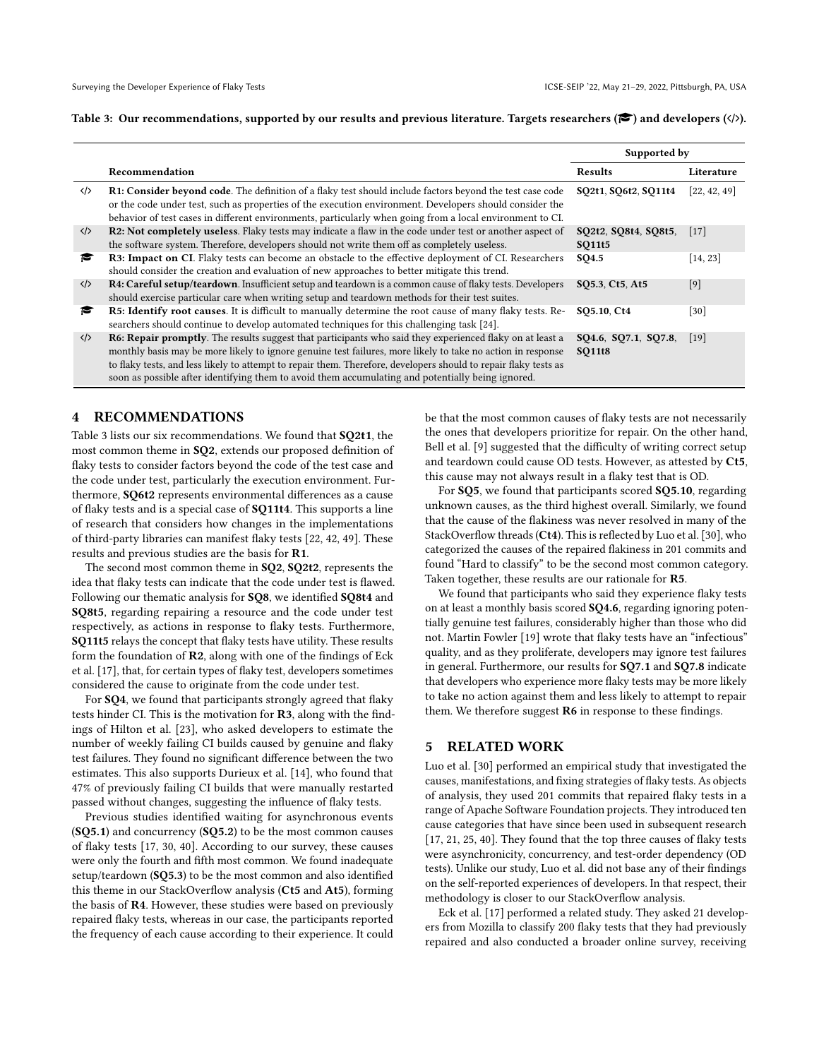<span id="page-8-1"></span>

|  | Table 3: Our recommendations, supported by our results and previous literature. Targets researchers ( $\langle \rangle$ ) and developers ( $\langle \rangle$ ). |  |  |  |  |  |  |  |
|--|-----------------------------------------------------------------------------------------------------------------------------------------------------------------|--|--|--|--|--|--|--|
|--|-----------------------------------------------------------------------------------------------------------------------------------------------------------------|--|--|--|--|--|--|--|

|                   |                                                                                                                                                                                                                                                                                                                                                                                                                                                         | Supported by                          |              |  |
|-------------------|---------------------------------------------------------------------------------------------------------------------------------------------------------------------------------------------------------------------------------------------------------------------------------------------------------------------------------------------------------------------------------------------------------------------------------------------------------|---------------------------------------|--------------|--|
|                   | Recommendation                                                                                                                                                                                                                                                                                                                                                                                                                                          | Results                               | Literature   |  |
| $\langle \rangle$ | R1: Consider beyond code. The definition of a flaky test should include factors beyond the test case code<br>or the code under test, such as properties of the execution environment. Developers should consider the<br>behavior of test cases in different environments, particularly when going from a local environment to CI.                                                                                                                       | SO2t1, SO6t2, SO11t4                  | [22, 42, 49] |  |
| $\langle \rangle$ | R2: Not completely useless. Flaky tests may indicate a flaw in the code under test or another aspect of<br>the software system. Therefore, developers should not write them off as completely useless.                                                                                                                                                                                                                                                  | SQ2t2, SQ8t4, SQ8t5,<br>SO11t5        | $[17]$       |  |
| r                 | R3: Impact on CI. Flaky tests can become an obstacle to the effective deployment of CI. Researchers<br>should consider the creation and evaluation of new approaches to better mitigate this trend.                                                                                                                                                                                                                                                     | SQ4.5                                 | [14, 23]     |  |
| $\langle \rangle$ | R4: Careful setup/teardown. Insufficient setup and teardown is a common cause of flaky tests. Developers<br>should exercise particular care when writing setup and teardown methods for their test suites.                                                                                                                                                                                                                                              | SQ5.3, Ct5, At5                       | $[9]$        |  |
| r                 | <b>R5: Identify root causes.</b> It is difficult to manually determine the root cause of many flaky tests. Re-<br>searchers should continue to develop automated techniques for this challenging task [24].                                                                                                                                                                                                                                             | SO5.10, Ct4                           | $[30]$       |  |
| $\langle \rangle$ | <b>R6: Repair promptly.</b> The results suggest that participants who said they experienced flaky on at least a<br>monthly basis may be more likely to ignore genuine test failures, more likely to take no action in response<br>to flaky tests, and less likely to attempt to repair them. Therefore, developers should to repair flaky tests as<br>soon as possible after identifying them to avoid them accumulating and potentially being ignored. | SQ4.6, SQ7.1, SQ7.8,<br><b>SQ11t8</b> | $[19]$       |  |

#### <span id="page-8-0"></span>4 RECOMMENDATIONS

Table [3](#page-8-1) lists our six recommendations. We found that SQ2t1, the most common theme in SQ2, extends our proposed definition of flaky tests to consider factors beyond the code of the test case and the code under test, particularly the execution environment. Furthermore, SQ6t2 represents environmental differences as a cause of flaky tests and is a special case of SQ11t4. This supports a line of research that considers how changes in the implementations of third-party libraries can manifest flaky tests [\[22,](#page-9-35) [42,](#page-9-36) [49\]](#page-9-37). These results and previous studies are the basis for R1.

The second most common theme in SQ2, SQ2t2, represents the idea that flaky tests can indicate that the code under test is flawed. Following our thematic analysis for SQ8, we identified SQ8t4 and SQ8t5, regarding repairing a resource and the code under test respectively, as actions in response to flaky tests. Furthermore, SQ11t5 relays the concept that flaky tests have utility. These results form the foundation of R2, along with one of the findings of Eck et al. [\[17\]](#page-9-14), that, for certain types of flaky test, developers sometimes considered the cause to originate from the code under test.

For SQ4, we found that participants strongly agreed that flaky tests hinder CI. This is the motivation for R3, along with the findings of Hilton et al. [\[23\]](#page-9-15), who asked developers to estimate the number of weekly failing CI builds caused by genuine and flaky test failures. They found no significant difference between the two estimates. This also supports Durieux et al. [\[14\]](#page-9-3), who found that 47% of previously failing CI builds that were manually restarted passed without changes, suggesting the influence of flaky tests.

Previous studies identified waiting for asynchronous events (SQ5.1) and concurrency (SQ5.2) to be the most common causes of flaky tests [\[17,](#page-9-14) [30,](#page-9-11) [40\]](#page-9-12). According to our survey, these causes were only the fourth and fifth most common. We found inadequate setup/teardown (SQ5.3) to be the most common and also identified this theme in our StackOverflow analysis (Ct5 and At5), forming the basis of R4. However, these studies were based on previously repaired flaky tests, whereas in our case, the participants reported the frequency of each cause according to their experience. It could be that the most common causes of flaky tests are not necessarily the ones that developers prioritize for repair. On the other hand, Bell et al. [\[9\]](#page-9-31) suggested that the difficulty of writing correct setup and teardown could cause OD tests. However, as attested by Ct5, this cause may not always result in a flaky test that is OD.

For SQ5, we found that participants scored SQ5.10, regarding unknown causes, as the third highest overall. Similarly, we found that the cause of the flakiness was never resolved in many of the StackOverflow threads (Ct4). This is reflected by Luo et al. [\[30\]](#page-9-11), who categorized the causes of the repaired flakiness in 201 commits and found "Hard to classify" to be the second most common category. Taken together, these results are our rationale for R5.

We found that participants who said they experience flaky tests on at least a monthly basis scored SQ4.6, regarding ignoring potentially genuine test failures, considerably higher than those who did not. Martin Fowler [\[19\]](#page-9-18) wrote that flaky tests have an "infectious" quality, and as they proliferate, developers may ignore test failures in general. Furthermore, our results for SQ7.1 and SQ7.8 indicate that developers who experience more flaky tests may be more likely to take no action against them and less likely to attempt to repair them. We therefore suggest R6 in response to these findings.

#### 5 RELATED WORK

Luo et al. [\[30\]](#page-9-11) performed an empirical study that investigated the causes, manifestations, and fixing strategies of flaky tests. As objects of analysis, they used 201 commits that repaired flaky tests in a range of Apache Software Foundation projects. They introduced ten cause categories that have since been used in subsequent research [\[17,](#page-9-14) [21,](#page-9-10) [25,](#page-9-30) [40\]](#page-9-12). They found that the top three causes of flaky tests were asynchronicity, concurrency, and test-order dependency (OD tests). Unlike our study, Luo et al. did not base any of their findings on the self-reported experiences of developers. In that respect, their methodology is closer to our StackOverflow analysis.

Eck et al. [\[17\]](#page-9-14) performed a related study. They asked 21 developers from Mozilla to classify 200 flaky tests that they had previously repaired and also conducted a broader online survey, receiving